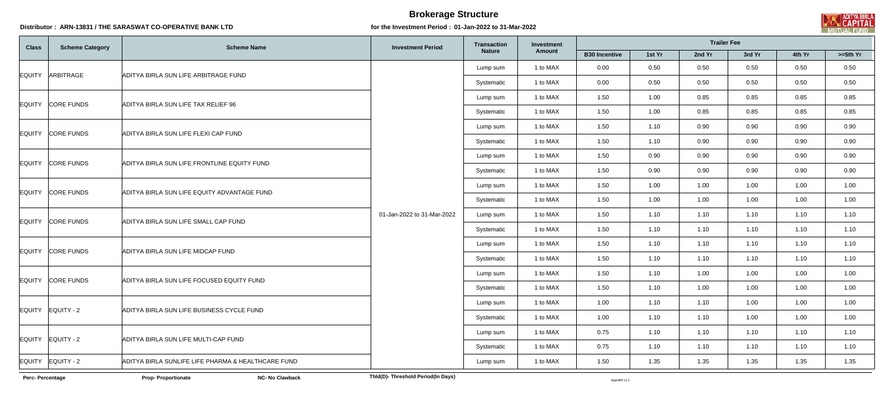

| <b>Class</b> | <b>Transaction</b><br><b>Scheme Category</b><br><b>Scheme Name</b><br><b>Investment Period</b> | <b>Investment</b>                                  | <b>Trailer Fee</b>         |               |               |                      |        |        |        |              |            |
|--------------|------------------------------------------------------------------------------------------------|----------------------------------------------------|----------------------------|---------------|---------------|----------------------|--------|--------|--------|--------------|------------|
|              |                                                                                                |                                                    |                            | <b>Nature</b> | <b>Amount</b> | <b>B30 Incentive</b> | 1st Yr | 2nd Yr | 3rd Yr | 4th Yr       | $>=5th$ Yr |
|              | EQUITY ARBITRAGE                                                                               | ADITYA BIRLA SUN LIFE ARBITRAGE FUND               |                            | Lump sum      | 1 to MAX      | 0.00                 | 0.50   | 0.50   | 0.50   | 0.50         | 0.50       |
|              |                                                                                                |                                                    |                            | Systematic    | 1 to MAX      | 0.00                 | 0.50   | 0.50   | 0.50   | 0.50         | 0.50       |
|              | EQUITY CORE FUNDS                                                                              | ADITYA BIRLA SUN LIFE TAX RELIEF 96                |                            | Lump sum      | 1 to MAX      | 1.50                 | 1.00   | 0.85   | 0.85   | 0.85         | 0.85       |
|              |                                                                                                |                                                    |                            | Systematic    | 1 to MAX      | 1.50                 | 1.00   | 0.85   | 0.85   | 0.85         | 0.85       |
|              | EQUITY CORE FUNDS                                                                              | ADITYA BIRLA SUN LIFE FLEXI CAP FUND               |                            | Lump sum      | 1 to MAX      | 1.50                 | 1.10   | 0.90   | 0.90   | 0.90         | 0.90       |
|              |                                                                                                |                                                    |                            | Systematic    | 1 to MAX      | 1.50                 | 1.10   | 0.90   | 0.90   | 0.90         | 0.90       |
|              | EQUITY CORE FUNDS                                                                              | ADITYA BIRLA SUN LIFE FRONTLINE EQUITY FUND        |                            | Lump sum      | 1 to MAX      | 1.50                 | 0.90   | 0.90   | 0.90   | 0.90         | 0.90       |
|              |                                                                                                |                                                    |                            | Systematic    | 1 to MAX      | 1.50                 | 0.90   | 0.90   | 0.90   | 0.90         | 0.90       |
|              | EQUITY CORE FUNDS                                                                              | ADITYA BIRLA SUN LIFE EQUITY ADVANTAGE FUND        |                            | Lump sum      | 1 to MAX      | 1.50                 | 1.00   | 1.00   | 1.00   | 1.00<br>1.00 | 1.00       |
|              |                                                                                                |                                                    |                            | Systematic    | 1 to MAX      | 1.50                 | 1.00   | 1.00   | 1.00   |              | 1.00       |
|              | EQUITY CORE FUNDS                                                                              | ADITYA BIRLA SUN LIFE SMALL CAP FUND               | 01-Jan-2022 to 31-Mar-2022 | Lump sum      | 1 to MAX      | 1.50                 | 1.10   | 1.10   | 1.10   | 1.10         | 1.10       |
|              |                                                                                                |                                                    |                            | Systematic    | 1 to MAX      | 1.50                 | 1.10   | 1.10   | 1.10   | 1.10         | 1.10       |
|              | EQUITY CORE FUNDS                                                                              | ADITYA BIRLA SUN LIFE MIDCAP FUND                  |                            | Lump sum      | 1 to MAX      | 1.50                 | 1.10   | 1.10   | 1.10   | 1.10         | 1.10       |
|              |                                                                                                |                                                    |                            | Systematic    | 1 to MAX      | 1.50                 | 1.10   | 1.10   | 1.10   | 1.10         | 1.10       |
|              | EQUITY CORE FUNDS                                                                              | ADITYA BIRLA SUN LIFE FOCUSED EQUITY FUND          |                            | Lump sum      | 1 to MAX      | 1.50                 | 1.10   | 1.00   | 1.00   | 1.00         | 1.00       |
|              |                                                                                                |                                                    |                            | Systematic    | 1 to MAX      | 1.50                 | 1.10   | 1.00   | 1.00   | 1.00         | 1.00       |
|              | EQUITY EQUITY - 2                                                                              | ADITYA BIRLA SUN LIFE BUSINESS CYCLE FUND          |                            | Lump sum      | 1 to MAX      | 1.00                 | 1.10   | 1.10   | 1.00   | 1.00         | 1.00       |
|              |                                                                                                |                                                    |                            | Systematic    | 1 to MAX      | 1.00                 | 1.10   | 1.10   | 1.00   | 1.00         | 1.00       |
|              | EQUITY EQUITY - 2                                                                              | ADITYA BIRLA SUN LIFE MULTI-CAP FUND               |                            | Lump sum      | 1 to MAX      | 0.75                 | 1.10   | 1.10   | 1.10   | 1.10         | 1.10       |
|              |                                                                                                |                                                    |                            | Systematic    | 1 to MAX      | 0.75                 | 1.10   | 1.10   | 1.10   | 1.10         | 1.10       |
|              | EQUITY EQUITY - 2                                                                              | ADITYA BIRLA SUNLIFE LIFE PHARMA & HEALTHCARE FUND |                            | Lump sum      | 1 to MAX      | 1.50                 | 1.35   | 1.35   | 1.35   | 1.35         | 1.35       |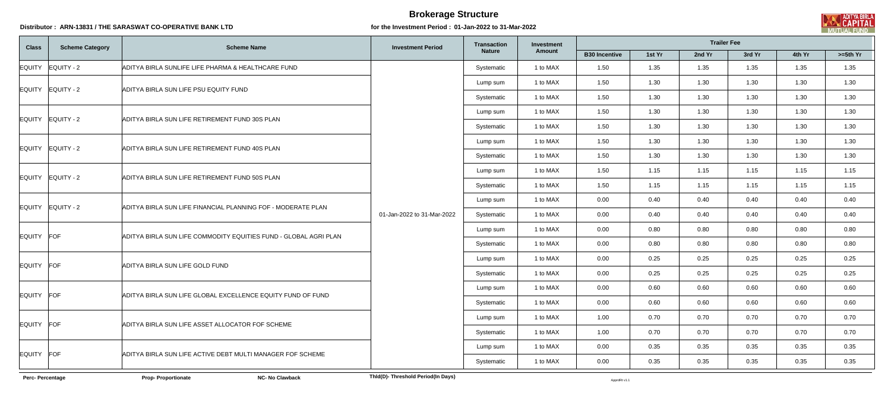

| <b>Class</b>      | <b>Scheme Category</b> | <b>Scheme Name</b>                                               | <b>Investment Period</b>   | <b>Transaction</b> | <b>Investment</b> | <b>Trailer Fee</b>   |        |        |        |        |            |  |  |
|-------------------|------------------------|------------------------------------------------------------------|----------------------------|--------------------|-------------------|----------------------|--------|--------|--------|--------|------------|--|--|
|                   |                        |                                                                  |                            | <b>Nature</b>      | <b>Amount</b>     | <b>B30 Incentive</b> | 1st Yr | 2nd Yr | 3rd Yr | 4th Yr | $>=5th$ Yr |  |  |
|                   | EQUITY EQUITY - 2      | ADITYA BIRLA SUNLIFE LIFE PHARMA & HEALTHCARE FUND               |                            | Systematic         | 1 to MAX          | 1.50                 | 1.35   | 1.35   | 1.35   | 1.35   | 1.35       |  |  |
|                   | EQUITY EQUITY - 2      | ADITYA BIRLA SUN LIFE PSU EQUITY FUND                            |                            | Lump sum           | 1 to MAX          | 1.50                 | 1.30   | 1.30   | 1.30   | 1.30   | 1.30       |  |  |
|                   |                        |                                                                  |                            | Systematic         | 1 to MAX          | 1.50                 | 1.30   | 1.30   | 1.30   | 1.30   | 1.30       |  |  |
|                   | EQUITY EQUITY - 2      | ADITYA BIRLA SUN LIFE RETIREMENT FUND 30S PLAN                   |                            | Lump sum           | 1 to MAX          | 1.50                 | 1.30   | 1.30   | 1.30   | 1.30   | 1.30       |  |  |
|                   |                        |                                                                  |                            | Systematic         | 1 to MAX          | 1.50                 | 1.30   | 1.30   | 1.30   | 1.30   | 1.30       |  |  |
|                   |                        | ADITYA BIRLA SUN LIFE RETIREMENT FUND 40S PLAN                   |                            | Lump sum           | 1 to MAX          | 1.50                 | 1.30   | 1.30   | 1.30   | 1.30   | 1.30       |  |  |
|                   | EQUITY EQUITY - 2      |                                                                  |                            | Systematic         | 1 to MAX          | 1.50                 | 1.30   | 1.30   | 1.30   | 1.30   | 1.30       |  |  |
|                   |                        |                                                                  |                            | Lump sum           | 1 to MAX          | 1.50                 | 1.15   | 1.15   | 1.15   | 1.15   | 1.15       |  |  |
|                   | EQUITY EQUITY - 2      | ADITYA BIRLA SUN LIFE RETIREMENT FUND 50S PLAN                   |                            | Systematic         | 1 to MAX          | 1.50                 | 1.15   | 1.15   | 1.15   | 1.15   | 1.15       |  |  |
| EQUITY EQUITY - 2 |                        |                                                                  |                            | Lump sum           | 1 to MAX          | 0.00                 | 0.40   | 0.40   | 0.40   | 0.40   | 0.40       |  |  |
|                   |                        | ADITYA BIRLA SUN LIFE FINANCIAL PLANNING FOF - MODERATE PLAN     | 01-Jan-2022 to 31-Mar-2022 | Systematic         | 1 to MAX          | 0.00                 | 0.40   | 0.40   | 0.40   | 0.40   | 0.40       |  |  |
|                   |                        |                                                                  |                            | Lump sum           | 1 to MAX          | 0.00                 | 0.80   | 0.80   | 0.80   | 0.80   | 0.80       |  |  |
| EQUITY FOF        |                        | ADITYA BIRLA SUN LIFE COMMODITY EQUITIES FUND - GLOBAL AGRI PLAN |                            | Systematic         | 1 to MAX          | 0.00                 | 0.80   | 0.80   | 0.80   | 0.80   | 0.80       |  |  |
|                   |                        |                                                                  |                            | Lump sum           | 1 to MAX          | 0.00                 | 0.25   | 0.25   | 0.25   | 0.25   | 0.25       |  |  |
| EQUITY FOF        |                        | ADITYA BIRLA SUN LIFE GOLD FUND                                  |                            | Systematic         | 1 to MAX          | 0.00                 | 0.25   | 0.25   | 0.25   | 0.25   | 0.25       |  |  |
|                   |                        |                                                                  |                            | Lump sum           | 1 to MAX          | 0.00                 | 0.60   | 0.60   | 0.60   | 0.60   | 0.60       |  |  |
| EQUITY FOF        |                        | ADITYA BIRLA SUN LIFE GLOBAL EXCELLENCE EQUITY FUND OF FUND      |                            | Systematic         | 1 to MAX          | 0.00                 | 0.60   | 0.60   | 0.60   | 0.60   | 0.60       |  |  |
|                   |                        |                                                                  |                            | Lump sum           | 1 to MAX          | 1.00                 | 0.70   | 0.70   | 0.70   | 0.70   | 0.70       |  |  |
| EQUITY FOF        |                        | ADITYA BIRLA SUN LIFE ASSET ALLOCATOR FOF SCHEME                 |                            | Systematic         | 1 to MAX          | 1.00                 | 0.70   | 0.70   | 0.70   | 0.70   | 0.70       |  |  |
|                   |                        |                                                                  |                            | Lump sum           | 1 to MAX          | 0.00                 | 0.35   | 0.35   | 0.35   | 0.35   | 0.35       |  |  |
| EQUITY FOF        |                        | ADITYA BIRLA SUN LIFE ACTIVE DEBT MULTI MANAGER FOF SCHEME       |                            | Systematic         | 1 to MAX          | 0.00                 | 0.35   | 0.35   | 0.35   | 0.35   | 0.35       |  |  |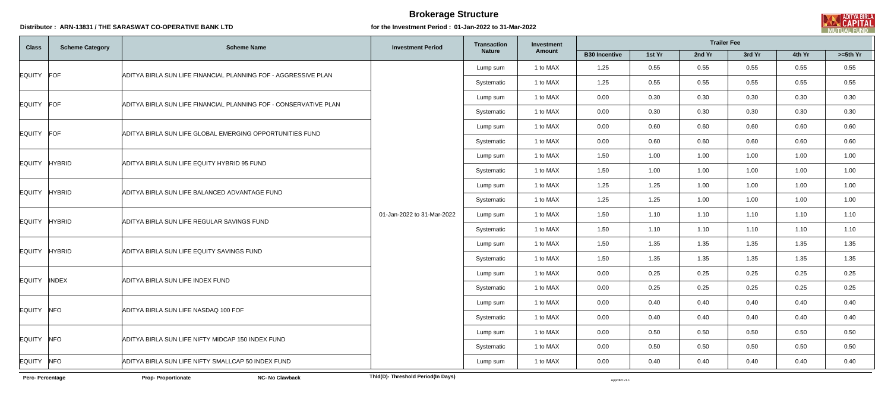

| <b>Class</b>  | <b>Scheme Category</b> | <b>Scheme Name</b>                                               | <b>Investment Period</b>   | Transaction   | <b>Investment</b> |                      |        | <b>Trailer Fee</b> |        |              |            |  |  |  |  |  |  |
|---------------|------------------------|------------------------------------------------------------------|----------------------------|---------------|-------------------|----------------------|--------|--------------------|--------|--------------|------------|--|--|--|--|--|--|
|               |                        |                                                                  |                            | <b>Nature</b> | <b>Amount</b>     | <b>B30 Incentive</b> | 1st Yr | 2nd Yr             | 3rd Yr | 4th Yr       | $>=5th$ Yr |  |  |  |  |  |  |
| EQUITY FOF    |                        | ADITYA BIRLA SUN LIFE FINANCIAL PLANNING FOF - AGGRESSIVE PLAN   |                            | Lump sum      | 1 to MAX          | 1.25                 | 0.55   | 0.55               | 0.55   | 0.55         | 0.55       |  |  |  |  |  |  |
|               |                        |                                                                  |                            | Systematic    | 1 to MAX          | 1.25                 | 0.55   | 0.55               | 0.55   | 0.55         | 0.55       |  |  |  |  |  |  |
| EQUITY FOF    |                        | ADITYA BIRLA SUN LIFE FINANCIAL PLANNING FOF - CONSERVATIVE PLAN |                            | Lump sum      | 1 to MAX          | 0.00                 | 0.30   | 0.30               | 0.30   | 0.30         | 0.30       |  |  |  |  |  |  |
|               |                        |                                                                  |                            | Systematic    | 1 to MAX          | 0.00                 | 0.30   | 0.30               | 0.30   | 0.30         | 0.30       |  |  |  |  |  |  |
| EQUITY FOF    |                        | ADITYA BIRLA SUN LIFE GLOBAL EMERGING OPPORTUNITIES FUND         |                            | Lump sum      | 1 to MAX          | 0.00                 | 0.60   | 0.60               | 0.60   | 0.60         | 0.60       |  |  |  |  |  |  |
|               |                        |                                                                  |                            | Systematic    | 1 to MAX          | 0.00                 | 0.60   | 0.60               | 0.60   | 0.60         | 0.60       |  |  |  |  |  |  |
| EQUITY HYBRID |                        | ADITYA BIRLA SUN LIFE EQUITY HYBRID 95 FUND                      |                            | Lump sum      | 1 to MAX          | 1.50                 | 1.00   | 1.00               | 1.00   | 1.00         | 1.00       |  |  |  |  |  |  |
|               |                        |                                                                  |                            | Systematic    | 1 to MAX          | 1.50                 | 1.00   | 1.00               | 1.00   | 1.00         | 1.00       |  |  |  |  |  |  |
|               | EQUITY HYBRID          | ADITYA BIRLA SUN LIFE BALANCED ADVANTAGE FUND                    |                            | Lump sum      | 1 to MAX          | 1.25                 | 1.25   | 1.00               | 1.00   | 1.00         | 1.00       |  |  |  |  |  |  |
|               |                        |                                                                  |                            | Systematic    | 1 to MAX          | 1.25                 | 1.25   | 1.00               | 1.00   | 1.00<br>1.10 | 1.00       |  |  |  |  |  |  |
| EQUITY HYBRID |                        |                                                                  | 01-Jan-2022 to 31-Mar-2022 | Lump sum      | 1 to MAX          | 1.50                 | 1.10   | 1.10               | 1.10   |              | 1.10       |  |  |  |  |  |  |
|               |                        | IADITYA BIRLA SUN LIFE REGULAR SAVINGS FUND                      |                            | Systematic    | 1 to MAX          | 1.50                 | 1.10   | 1.10               | 1.10   | 1.10         | 1.10       |  |  |  |  |  |  |
| EQUITY HYBRID |                        | ADITYA BIRLA SUN LIFE EQUITY SAVINGS FUND                        |                            | Lump sum      | 1 to MAX          | 1.50                 | 1.35   | 1.35               | 1.35   | 1.35         | 1.35       |  |  |  |  |  |  |
|               |                        |                                                                  |                            | Systematic    | 1 to MAX          | 1.50                 | 1.35   | 1.35               | 1.35   | 1.35         | 1.35       |  |  |  |  |  |  |
| EQUITY  INDEX |                        | ADITYA BIRLA SUN LIFE INDEX FUND                                 |                            | Lump sum      | 1 to MAX          | 0.00                 | 0.25   | 0.25               | 0.25   | 0.25         | 0.25       |  |  |  |  |  |  |
|               |                        |                                                                  |                            | Systematic    | 1 to MAX          | 0.00                 | 0.25   | 0.25               | 0.25   | 0.25         | 0.25       |  |  |  |  |  |  |
| EQUITY NFO    |                        | ADITYA BIRLA SUN LIFE NASDAQ 100 FOF                             |                            | Lump sum      | 1 to MAX          | 0.00                 | 0.40   | 0.40               | 0.40   | 0.40         | 0.40       |  |  |  |  |  |  |
|               |                        |                                                                  |                            | Systematic    | 1 to MAX          | 0.00                 | 0.40   | 0.40               | 0.40   | 0.40         | 0.40       |  |  |  |  |  |  |
| EQUITY NFO    |                        | ADITYA BIRLA SUN LIFE NIFTY MIDCAP 150 INDEX FUND                |                            | Lump sum      | 1 to MAX          | 0.00                 | 0.50   | 0.50               | 0.50   | 0.50         | 0.50       |  |  |  |  |  |  |
|               |                        |                                                                  |                            | Systematic    | 1 to MAX          | 0.00                 | 0.50   | 0.50               | 0.50   | 0.50         | 0.50       |  |  |  |  |  |  |
| EQUITY NFO    |                        | ADITYA BIRLA SUN LIFE NIFTY SMALLCAP 50 INDEX FUND               |                            | Lump sum      | 1 to MAX          | 0.00                 | 0.40   | 0.40               | 0.40   | 0.40         | 0.40       |  |  |  |  |  |  |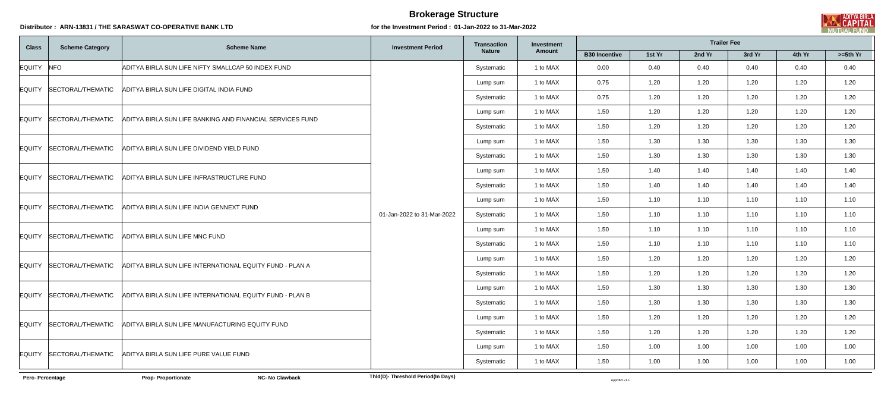

| <b>Class</b> | <b>Scheme Category</b>                                                | <b>Scheme Name</b>                                        | <b>Investment Period</b>   | Transaction   | <b>Investment</b> |                      |        | <b>Trailer Fee</b> |        |        |            |
|--------------|-----------------------------------------------------------------------|-----------------------------------------------------------|----------------------------|---------------|-------------------|----------------------|--------|--------------------|--------|--------|------------|
|              |                                                                       |                                                           |                            | <b>Nature</b> | Amount            | <b>B30 Incentive</b> | 1st Yr | 2nd Yr             | 3rd Yr | 4th Yr | $>=5th$ Yr |
| EQUITY NFO   |                                                                       | ADITYA BIRLA SUN LIFE NIFTY SMALLCAP 50 INDEX FUND        |                            | Systematic    | 1 to MAX          | 0.00                 | 0.40   | 0.40               | 0.40   | 0.40   | 0.40       |
|              | EQUITY SECTORAL/THEMATIC                                              | ADITYA BIRLA SUN LIFE DIGITAL INDIA FUND                  |                            | Lump sum      | 1 to MAX          | 0.75                 | 1.20   | 1.20               | 1.20   | 1.20   | 1.20       |
|              |                                                                       |                                                           |                            | Systematic    | 1 to MAX          | 0.75                 | 1.20   | 1.20               | 1.20   | 1.20   | 1.20       |
|              | EQUITY SECTORAL/THEMATIC                                              | ADITYA BIRLA SUN LIFE BANKING AND FINANCIAL SERVICES FUND |                            | Lump sum      | 1 to MAX          | 1.50                 | 1.20   | 1.20               | 1.20   | 1.20   | 1.20       |
|              |                                                                       |                                                           |                            | Systematic    | 1 to MAX          | 1.50                 | 1.20   | 1.20               | 1.20   | 1.20   | 1.20       |
|              | EQUITY SECTORAL/THEMATIC<br>ADITYA BIRLA SUN LIFE DIVIDEND YIELD FUND |                                                           | Lump sum                   | 1 to MAX      | 1.50              | 1.30                 | 1.30   | 1.30               | 1.30   | 1.30   |            |
|              |                                                                       |                                                           |                            | Systematic    | 1 to MAX          | 1.50                 | 1.30   | 1.30               | 1.30   | 1.30   | 1.30       |
|              | EQUITY SECTORAL/THEMATIC<br>ADITYA BIRLA SUN LIFE INFRASTRUCTURE FUND |                                                           | Lump sum                   | 1 to MAX      | 1.50              | 1.40                 | 1.40   | 1.40               | 1.40   | 1.40   |            |
|              |                                                                       |                                                           |                            | Systematic    | 1 to MAX          | 1.50                 | 1.40   | 1.40               | 1.40   | 1.40   | 1.40       |
|              | EQUITY SECTORAL/THEMATIC                                              |                                                           |                            | Lump sum      | 1 to MAX          | 1.50                 | 1.10   | 1.10               | 1.10   | 1.10   | 1.10       |
|              |                                                                       | ADITYA BIRLA SUN LIFE INDIA GENNEXT FUND                  | 01-Jan-2022 to 31-Mar-2022 | Systematic    | 1 to MAX          | 1.50                 | 1.10   | 1.10               | 1.10   | 1.10   | 1.10       |
|              |                                                                       |                                                           | Lump sum                   | 1 to MAX      | 1.50              | 1.10                 | 1.10   | 1.10               | 1.10   | 1.10   |            |
|              | EQUITY SECTORAL/THEMATIC                                              | ADITYA BIRLA SUN LIFE MNC FUND                            |                            | Systematic    | 1 to MAX          | 1.50                 | 1.10   | 1.10               | 1.10   | 1.10   | 1.10       |
|              |                                                                       | ADITYA BIRLA SUN LIFE INTERNATIONAL EQUITY FUND - PLAN A  |                            | Lump sum      | 1 to MAX          | 1.50                 | 1.20   | 1.20               | 1.20   | 1.20   | 1.20       |
|              | EQUITY SECTORAL/THEMATIC                                              |                                                           |                            | Systematic    | 1 to MAX          | 1.50                 | 1.20   | 1.20               | 1.20   | 1.20   | 1.20       |
|              |                                                                       |                                                           |                            | Lump sum      | 1 to MAX          | 1.50                 | 1.30   | 1.30               | 1.30   | 1.30   | 1.30       |
|              | EQUITY SECTORAL/THEMATIC                                              | ADITYA BIRLA SUN LIFE INTERNATIONAL EQUITY FUND - PLAN B  |                            | Systematic    | 1 to MAX          | 1.50                 | 1.30   | 1.30               | 1.30   | 1.30   | 1.30       |
|              |                                                                       |                                                           |                            | Lump sum      | 1 to MAX          | 1.50                 | 1.20   | 1.20               | 1.20   | 1.20   | 1.20       |
|              | EQUITY SECTORAL/THEMATIC                                              | ADITYA BIRLA SUN LIFE MANUFACTURING EQUITY FUND           |                            | Systematic    | 1 to MAX          | 1.50                 | 1.20   | 1.20               | 1.20   | 1.20   | 1.20       |
|              |                                                                       |                                                           |                            | Lump sum      | 1 to MAX          | 1.50                 | 1.00   | 1.00               | 1.00   | 1.00   | 1.00       |
|              | EQUITY SECTORAL/THEMATIC                                              | ADITYA BIRLA SUN LIFE PURE VALUE FUND                     |                            | Systematic    | 1 to MAX          | 1.50                 | 1.00   | 1.00               | 1.00   | 1.00   | 1.00       |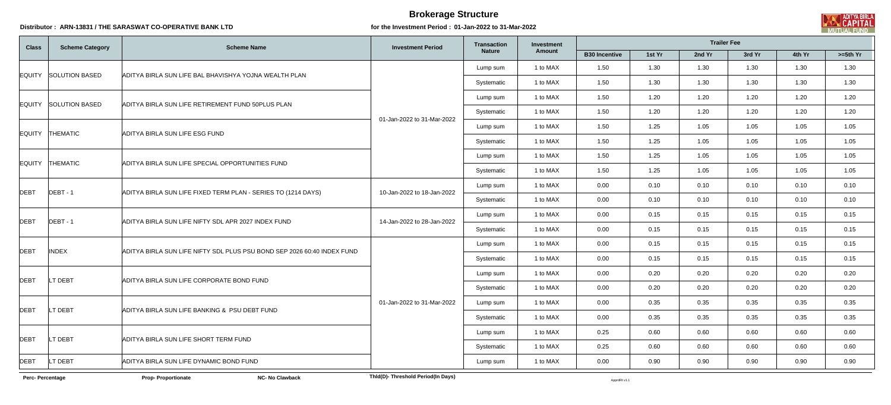

| <b>Class</b> | <b>Scheme Category</b>                                                      | <b>Scheme Name</b>                                                      | <b>Transaction</b><br><b>Investment Period</b> | <b>Investment</b> |               |                      | <b>Trailer Fee</b> |        |        | $>=5th$ Yr                                                   |      |  |  |  |  |  |
|--------------|-----------------------------------------------------------------------------|-------------------------------------------------------------------------|------------------------------------------------|-------------------|---------------|----------------------|--------------------|--------|--------|--------------------------------------------------------------|------|--|--|--|--|--|
|              |                                                                             |                                                                         |                                                | <b>Nature</b>     | <b>Amount</b> | <b>B30 Incentive</b> | 1st Yr             | 2nd Yr | 3rd Yr | 4th Yr                                                       |      |  |  |  |  |  |
|              | EQUITY SOLUTION BASED                                                       | ADITYA BIRLA SUN LIFE BAL BHAVISHYA YOJNA WEALTH PLAN                   |                                                | Lump sum          | 1 to MAX      | 1.50                 | 1.30               | 1.30   | 1.30   | 1.30                                                         | 1.30 |  |  |  |  |  |
|              |                                                                             |                                                                         |                                                | Systematic        | 1 to MAX      | 1.50                 | 1.30               | 1.30   | 1.30   | 1.30                                                         | 1.30 |  |  |  |  |  |
|              |                                                                             |                                                                         |                                                | Lump sum          | 1 to MAX      | 1.50                 | 1.20               | 1.20   | 1.20   | 1.20                                                         | 1.20 |  |  |  |  |  |
|              | EQUITY SOLUTION BASED                                                       | ADITYA BIRLA SUN LIFE RETIREMENT FUND 50PLUS PLAN                       | 01-Jan-2022 to 31-Mar-2022                     | Systematic        | 1 to MAX      | 1.50                 | 1.20               | 1.20   | 1.20   | 1.20                                                         | 1.20 |  |  |  |  |  |
|              | EQUITY THEMATIC                                                             |                                                                         |                                                | Lump sum          | 1 to MAX      | 1.50                 | 1.25               | 1.05   | 1.05   | 1.05                                                         | 1.05 |  |  |  |  |  |
|              |                                                                             | ADITYA BIRLA SUN LIFE ESG FUND                                          |                                                | Systematic        | 1 to MAX      | 1.50                 | 1.25               | 1.05   | 1.05   | 1.05                                                         | 1.05 |  |  |  |  |  |
|              | EQUITY THEMATIC<br>ADITYA BIRLA SUN LIFE SPECIAL OPPORTUNITIES FUND         |                                                                         | Lump sum                                       | 1 to MAX          | 1.50          | 1.25                 | 1.05               | 1.05   | 1.05   | 1.05                                                         |      |  |  |  |  |  |
|              |                                                                             |                                                                         |                                                | Systematic        | 1 to MAX      | 1.50                 | 1.25               | 1.05   | 1.05   | 1.05                                                         | 1.05 |  |  |  |  |  |
|              | $DEBT - 1$<br>ADITYA BIRLA SUN LIFE FIXED TERM PLAN - SERIES TO (1214 DAYS) |                                                                         |                                                | Lump sum          | 1 to MAX      | 0.00                 | 0.10               | 0.10   | 0.10   | 0.10                                                         | 0.10 |  |  |  |  |  |
| DEBT         |                                                                             |                                                                         | 10-Jan-2022 to 18-Jan-2022                     | Systematic        | 1 to MAX      | 0.00                 | 0.10               | 0.10   | 0.10   | 0.10                                                         | 0.10 |  |  |  |  |  |
|              | DEBT-1                                                                      |                                                                         |                                                | Lump sum          | 1 to MAX      | 0.00                 | 0.15               | 0.15   | 0.15   | 0.15<br>0.15<br>0.15<br>0.15<br>0.20<br>0.20<br>0.35<br>0.35 | 0.15 |  |  |  |  |  |
| <b>DEBT</b>  |                                                                             | ADITYA BIRLA SUN LIFE NIFTY SDL APR 2027 INDEX FUND                     | 14-Jan-2022 to 28-Jan-2022                     | Systematic        | 1 to MAX      | 0.00                 | 0.15               | 0.15   | 0.15   |                                                              | 0.15 |  |  |  |  |  |
|              |                                                                             |                                                                         |                                                | Lump sum          | 1 to MAX      | 0.00                 | 0.15               | 0.15   | 0.15   |                                                              | 0.15 |  |  |  |  |  |
| <b>DEBT</b>  | <b>INDEX</b>                                                                | ADITYA BIRLA SUN LIFE NIFTY SDL PLUS PSU BOND SEP 2026 60:40 INDEX FUND |                                                | Systematic        | 1 to MAX      | 0.00                 | 0.15               | 0.15   | 0.15   |                                                              | 0.15 |  |  |  |  |  |
|              | LT DEBT                                                                     |                                                                         |                                                | Lump sum          | 1 to MAX      | 0.00                 | 0.20               | 0.20   | 0.20   |                                                              | 0.20 |  |  |  |  |  |
| <b>DEBT</b>  |                                                                             | ADITYA BIRLA SUN LIFE CORPORATE BOND FUND                               |                                                | Systematic        | 1 to MAX      | 0.00                 | 0.20               | 0.20   | 0.20   |                                                              | 0.20 |  |  |  |  |  |
|              | <b>LT DEBT</b>                                                              |                                                                         | 01-Jan-2022 to 31-Mar-2022                     | Lump sum          | 1 to MAX      | 0.00                 | 0.35               | 0.35   | 0.35   |                                                              | 0.35 |  |  |  |  |  |
| <b>DEBT</b>  |                                                                             | ADITYA BIRLA SUN LIFE BANKING & PSU DEBT FUND                           |                                                | Systematic        | 1 to MAX      | 0.00                 | 0.35               | 0.35   | 0.35   |                                                              | 0.35 |  |  |  |  |  |
|              |                                                                             |                                                                         |                                                | Lump sum          | 1 to MAX      | 0.25                 | 0.60               | 0.60   | 0.60   | 0.60                                                         | 0.60 |  |  |  |  |  |
| <b>DEBT</b>  | LT DEBT                                                                     | ADITYA BIRLA SUN LIFE SHORT TERM FUND                                   |                                                | Systematic        | 1 to MAX      | 0.25                 | 0.60               | 0.60   | 0.60   | 0.60                                                         | 0.60 |  |  |  |  |  |
| <b>DEBT</b>  | LT DEBT                                                                     | ADITYA BIRLA SUN LIFE DYNAMIC BOND FUND                                 |                                                | Lump sum          | 1 to MAX      | 0.00                 | 0.90               | 0.90   | 0.90   | 0.90                                                         | 0.90 |  |  |  |  |  |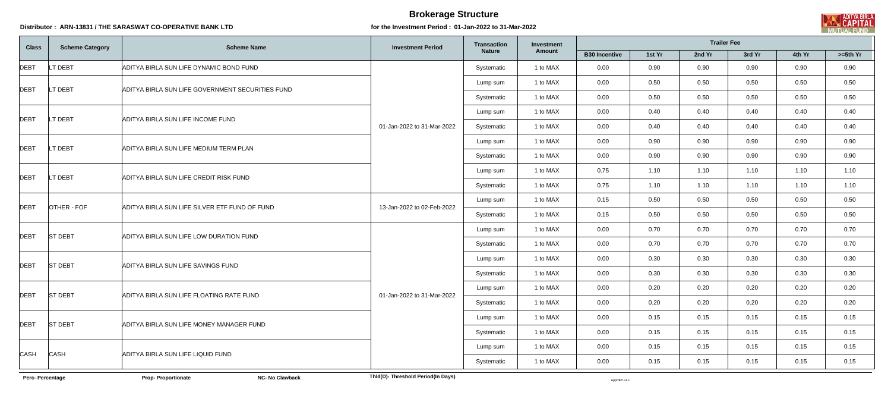

| <b>Class</b> |                                                   | <b>Transaction</b><br><b>Scheme Category</b><br><b>Investment Period</b><br><b>Scheme Name</b><br><b>Nature</b> | <b>Investment</b>          | <b>Trailer Fee</b> |          |                      |        |        |        |        |            |
|--------------|---------------------------------------------------|-----------------------------------------------------------------------------------------------------------------|----------------------------|--------------------|----------|----------------------|--------|--------|--------|--------|------------|
|              |                                                   |                                                                                                                 |                            |                    | Amount   | <b>B30 Incentive</b> | 1st Yr | 2nd Yr | 3rd Yr | 4th Yr | $>=5th$ Yr |
| <b>DEBT</b>  | LT DEBT                                           | ADITYA BIRLA SUN LIFE DYNAMIC BOND FUND                                                                         |                            | Systematic         | 1 to MAX | 0.00                 | 0.90   | 0.90   | 0.90   | 0.90   | 0.90       |
| <b>DEBT</b>  | LT DEBT                                           | ADITYA BIRLA SUN LIFE GOVERNMENT SECURITIES FUND                                                                |                            | Lump sum           | 1 to MAX | 0.00                 | 0.50   | 0.50   | 0.50   | 0.50   | 0.50       |
|              |                                                   |                                                                                                                 |                            | Systematic         | 1 to MAX | $0.00\,$             | 0.50   | 0.50   | 0.50   | 0.50   | 0.50       |
| <b>DEBT</b>  | LT DEBT                                           | ADITYA BIRLA SUN LIFE INCOME FUND                                                                               |                            | Lump sum           | 1 to MAX | $0.00\,$             | 0.40   | 0.40   | 0.40   | 0.40   | 0.40       |
|              |                                                   |                                                                                                                 | 01-Jan-2022 to 31-Mar-2022 | Systematic         | 1 to MAX | 0.00                 | 0.40   | 0.40   | 0.40   | 0.40   | 0.40       |
|              |                                                   |                                                                                                                 |                            | Lump sum           | 1 to MAX | $0.00\,$             | 0.90   | 0.90   | 0.90   | 0.90   | 0.90       |
| <b>DEBT</b>  | LT DEBT                                           | ADITYA BIRLA SUN LIFE MEDIUM TERM PLAN                                                                          |                            | Systematic         | 1 to MAX | 0.00                 | 0.90   | 0.90   | 0.90   | 0.90   | 0.90       |
|              | LT DEBT<br>ADITYA BIRLA SUN LIFE CREDIT RISK FUND |                                                                                                                 | Lump sum                   | 1 to MAX           | 0.75     | 1.10                 | 1.10   | 1.10   | 1.10   | 1.10   |            |
| <b>DEBT</b>  |                                                   |                                                                                                                 |                            | Systematic         | 1 to MAX | 0.75                 | 1.10   | 1.10   | 1.10   | 1.10   | 1.10       |
| <b>DEBT</b>  |                                                   |                                                                                                                 |                            | Lump sum           | 1 to MAX | 0.15                 | 0.50   | 0.50   | 0.50   | 0.50   | 0.50       |
|              | OTHER - FOF                                       | ADITYA BIRLA SUN LIFE SILVER ETF FUND OF FUND                                                                   | 13-Jan-2022 to 02-Feb-2022 | Systematic         | 1 to MAX | 0.15                 | 0.50   | 0.50   | 0.50   | 0.50   | 0.50       |
|              |                                                   |                                                                                                                 | Lump sum                   | 1 to MAX           | 0.00     | 0.70                 | 0.70   | 0.70   | 0.70   | 0.70   |            |
| DEBT         | <b>ST DEBT</b>                                    | ADITYA BIRLA SUN LIFE LOW DURATION FUND                                                                         |                            | Systematic         | 1 to MAX | 0.00                 | 0.70   | 0.70   | 0.70   | 0.70   | 0.70       |
|              |                                                   |                                                                                                                 |                            | Lump sum           | 1 to MAX | 0.00                 | 0.30   | 0.30   | 0.30   | 0.30   | 0.30       |
| <b>DEBT</b>  | <b>ST DEBT</b>                                    | ADITYA BIRLA SUN LIFE SAVINGS FUND                                                                              |                            | Systematic         | 1 to MAX | 0.00                 | 0.30   | 0.30   | 0.30   | 0.30   | 0.30       |
|              |                                                   |                                                                                                                 |                            | Lump sum           | 1 to MAX | 0.00                 | 0.20   | 0.20   | 0.20   | 0.20   | 0.20       |
| DEBT         | <b>ST DEBT</b>                                    | ADITYA BIRLA SUN LIFE FLOATING RATE FUND                                                                        | 01-Jan-2022 to 31-Mar-2022 | Systematic         | 1 to MAX | 0.00                 | 0.20   | 0.20   | 0.20   | 0.20   | 0.20       |
|              |                                                   |                                                                                                                 |                            | Lump sum           | 1 to MAX | 0.00                 | 0.15   | 0.15   | 0.15   | 0.15   | 0.15       |
| <b>DEBT</b>  | <b>ST DEBT</b>                                    | ADITYA BIRLA SUN LIFE MONEY MANAGER FUND                                                                        |                            | Systematic         | 1 to MAX | 0.00                 | 0.15   | 0.15   | 0.15   | 0.15   | 0.15       |
| <b>CASH</b>  |                                                   |                                                                                                                 |                            | Lump sum           | 1 to MAX | 0.00                 | 0.15   | 0.15   | 0.15   | 0.15   | 0.15       |
|              | <b>CASH</b>                                       | ADITYA BIRLA SUN LIFE LIQUID FUND                                                                               |                            | Systematic         | 1 to MAX | 0.00                 | 0.15   | 0.15   | 0.15   | 0.15   | 0.15       |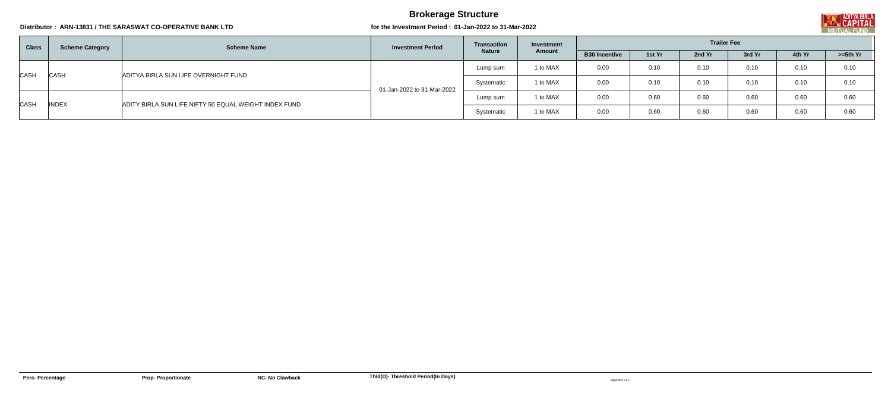

| <b>Class</b> | <b>Scheme Category</b>                              | <b>Scheme Name</b>                                    | <b>Investment Period</b>   | Transaction   | <b>Investment</b> | <b>Trailer Fee</b>   |        |        |        |        |            |  |
|--------------|-----------------------------------------------------|-------------------------------------------------------|----------------------------|---------------|-------------------|----------------------|--------|--------|--------|--------|------------|--|
|              |                                                     |                                                       |                            | <b>Nature</b> | Amount            | <b>B30 Incentive</b> | 1st Yr | 2nd Yr | 3rd Yr | 4th Yr | $>=5th$ Yr |  |
| <b>CASH</b>  | <b>CASH</b><br>ADITYA BIRLA SUN LIFE OVERNIGHT FUND |                                                       | Lump sum                   | 1 to MAX      | 0.00              | 0.10                 | 0.10   | 0.10   | 0.10   | 0.10   |            |  |
|              |                                                     |                                                       |                            | Systematic    | 1 to MAX          | 0.00                 | 0.10   | 0.10   | 0.10   | 0.10   | 0.10       |  |
| CASH         | <b>INDEX</b>                                        | ADITY BIRLA SUN LIFE NIFTY 50 EQUAL WEIGHT INDEX FUND | 01-Jan-2022 to 31-Mar-2022 | Lump sum      | 1 to MAX          | 0.00                 | 0.60   | 0.60   | 0.60   | 0.60   | 0.60       |  |
|              |                                                     |                                                       |                            | Systematic    | 1 to MAX          | 0.00                 | 0.60   | 0.60   | 0.60   | 0.60   | 0.60       |  |